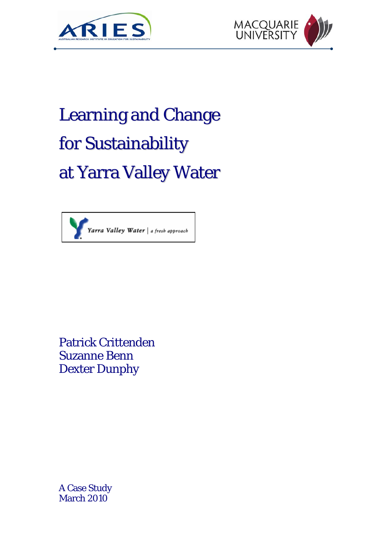



# Learning and Change for Sustainability at Yarra Valley Water



Patrick Crittenden Suzanne Benn Dexter Dunphy

A Case Study March 2010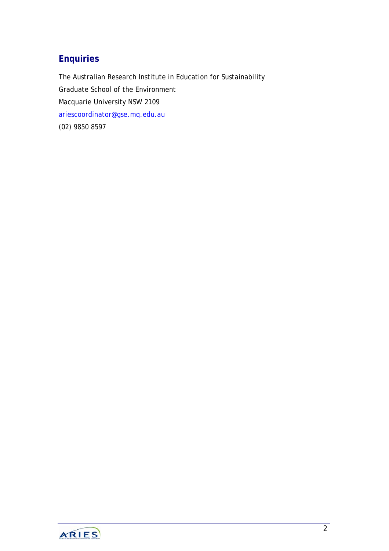# **Enquiries**

The Australian Research Institute in Education for Sustainability Graduate School of the Environment Macquarie University NSW 2109 [ariescoordinator@gse.mq.edu.au](mailto:ariescoordinator@gse.mq.edu.au) (02) 9850 8597

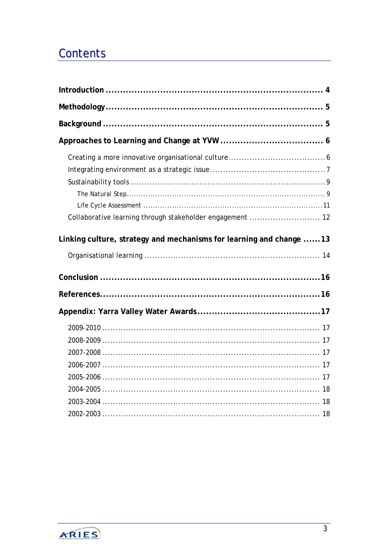# **Contents**

| Collaborative learning through stakeholder engagement  12           |  |
|---------------------------------------------------------------------|--|
| Linking culture, strategy and mechanisms for learning and change 13 |  |
|                                                                     |  |
|                                                                     |  |
|                                                                     |  |
|                                                                     |  |
|                                                                     |  |
|                                                                     |  |
|                                                                     |  |
|                                                                     |  |
|                                                                     |  |
|                                                                     |  |
|                                                                     |  |

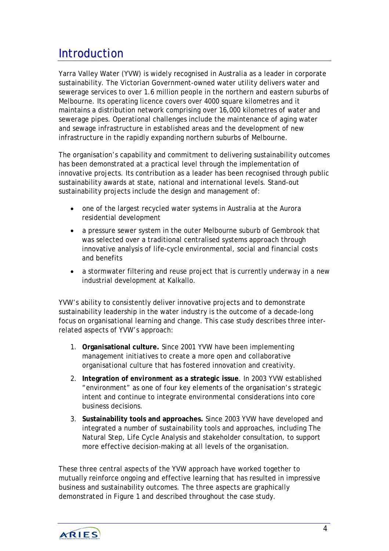# <span id="page-3-0"></span>**Introduction**

Yarra Valley Water (YVW) is widely recognised in Australia as a leader in corporate sustainability. The Victorian Government-owned water utility delivers water and sewerage services to over 1.6 million people in the northern and eastern suburbs of Melbourne. Its operating licence covers over 4000 square kilometres and it maintains a distribution network comprising over 16,000 kilometres of water and sewerage pipes. Operational challenges include the maintenance of aging water and sewage infrastructure in established areas and the development of new infrastructure in the rapidly expanding northern suburbs of Melbourne.

The organisation's capability and commitment to delivering sustainability outcomes has been demonstrated at a practical level through the implementation of innovative projects. Its contribution as a leader has been recognised through public sustainability awards at state, national and international levels. Stand-out sustainability projects include the design and management of:

- one of the largest recycled water systems in Australia at the Aurora residential development
- a pressure sewer system in the outer Melbourne suburb of Gembrook that was selected over a traditional centralised systems approach through innovative analysis of life-cycle environmental, social and financial costs and benefits
- a stormwater filtering and reuse project that is currently underway in a new industrial development at Kalkallo.

YVW's ability to consistently deliver innovative projects and to demonstrate sustainability leadership in the water industry is the outcome of a decade-long focus on organisational learning and change. This case study describes three interrelated aspects of YVW's approach:

- 1. **Organisational culture.** Since 2001 YVW have been implementing management initiatives to create a more open and collaborative organisational culture that has fostered innovation and creativity.
- 2. **Integration of** *environment* **as a strategic issue**. In 2003 YVW established "environment" as one of four key elements of the organisation's strategic intent and continue to integrate environmental considerations into core business decisions.
- 3. **Sustainability tools and approaches.** Since 2003 YVW have developed and integrated a number of sustainability tools and approaches, including The Natural Step, Life Cycle Analysis and stakeholder consultation, to support more effective decision-making at all levels of the organisation.

These three central aspects of the YVW approach have worked together to mutually reinforce ongoing and effective learning that has resulted in impressive business and sustainability outcomes. The three aspects are graphically demonstrated in Figure 1 and described throughout the case study.

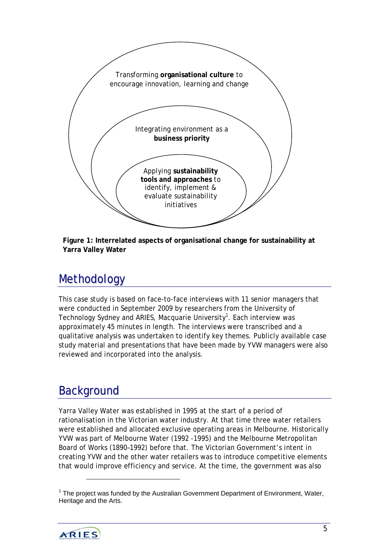<span id="page-4-0"></span>



# Methodology

This case study is based on face-to-face interviews with 11 senior managers that were conducted in September 2009 by researchers from the University of Technology Sydney and ARIES, Macquarie University<sup>1</sup>[.](#page-4-1) Each interview was approximately 45 minutes in length. The interviews were transcribed and a qualitative analysis was undertaken to identify key themes. Publicly available case study material and presentations that have been made by YVW managers were also reviewed and incorporated into the analysis.

# **Background**

Yarra Valley Water was established in 1995 at the start of a period of rationalisation in the Victorian water industry. At that time three water retailers were established and allocated exclusive operating areas in Melbourne. Historically YVW was part of Melbourne Water (1992 -1995) and the Melbourne Metropolitan Board of Works (1890–1992) before that. The Victorian Government's intent in creating YVW and the other water retailers was to introduce competitive elements that would improve efficiency and service. At the time, the government was also

<span id="page-4-1"></span> $1$  The project was funded by the Australian Government Department of Environment, Water, Heritage and the Arts.



l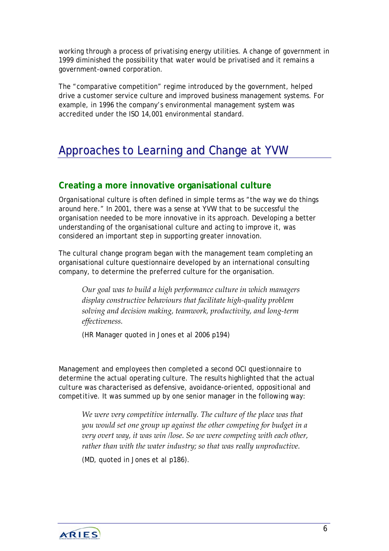<span id="page-5-0"></span>working through a process of privatising energy utilities. A change of government in 1999 diminished the possibility that water would be privatised and it remains a government-owned corporation.

The "comparative competition" regime introduced by the government, helped drive a customer service culture and improved business management systems. For example, in 1996 the company's environmental management system was accredited under the ISO 14,001 environmental standard.

# Approaches to Learning and Change at YVW

### **Creating a more innovative organisational culture**

Organisational culture is often defined in simple terms as "the way we do things around here." In 2001, there was a sense at YVW that to be successful the organisation needed to be more innovative in its approach. Developing a better understanding of the organisational culture and acting to improve it, was considered an important step in supporting greater innovation.

The cultural change program began with the management team completing an organisational culture questionnaire developed by an international consulting company, to determine the *preferred* culture for the organisation.

*Our goal was to build a high performance culture in which managers display constructive behaviours that facilitate high‐quality problem solving and decision making, teamwork, productivity, and long‐term effectiveness.*

(HR Manager quoted in Jones et al 2006 p194)

Management and employees then completed a second OCI questionnaire to determine the *actual* operating culture. The results highlighted that the *actual culture* was characterised as *defensive, avoidance-oriented, oppositional and competitive*. It was summed up by one senior manager in the following way:

*We were very competitive internally. The culture of the place was that you would set one group up against the other competing for budget in a very overt way, it was win /lose. So we were competing with each other, rather than with the water industry; so that was really unproductive.*

(MD, quoted in Jones *et al* p186).

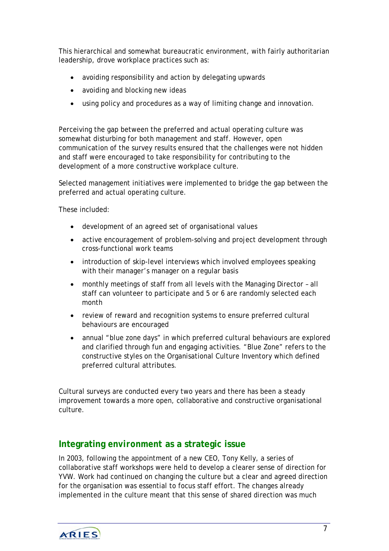<span id="page-6-0"></span>This hierarchical and somewhat bureaucratic environment, with fairly authoritarian leadership, drove workplace practices such as:

- avoiding responsibility and action by delegating upwards
- avoiding and blocking new ideas
- using policy and procedures as a way of limiting change and innovation.

Perceiving the gap between the preferred and actual operating culture was somewhat disturbing for both management and staff. However, open communication of the survey results ensured that the challenges were not hidden and staff were encouraged to take responsibility for contributing to the development of a more constructive workplace culture.

Selected management initiatives were implemented to bridge the gap between the preferred and actual operating culture.

These included:

- development of an agreed set of organisational values
- active encouragement of problem-solving and project development through cross-functional work teams
- introduction of skip-level interviews which involved employees speaking with their manager's manager on a regular basis
- monthly meetings of staff from all levels with the Managing Director all staff can volunteer to participate and 5 or 6 are randomly selected each month
- review of reward and recognition systems to ensure preferred cultural behaviours are encouraged
- annual "blue zone days" in which preferred cultural behaviours are explored and clarified through fun and engaging activities. "Blue Zone" refers to the constructive styles on the Organisational Culture Inventory which defined preferred cultural attributes.

Cultural surveys are conducted every two years and there has been a steady improvement towards a more open, collaborative and constructive organisational culture.

### **Integrating** *environment* **as a strategic issue**

In 2003, following the appointment of a new CEO, Tony Kelly, a series of collaborative staff workshops were held to develop a clearer sense of direction for YVW. Work had continued on changing the culture but a clear and agreed direction for the organisation was essential to focus staff effort. The changes already implemented in the culture meant that this sense of shared direction was much

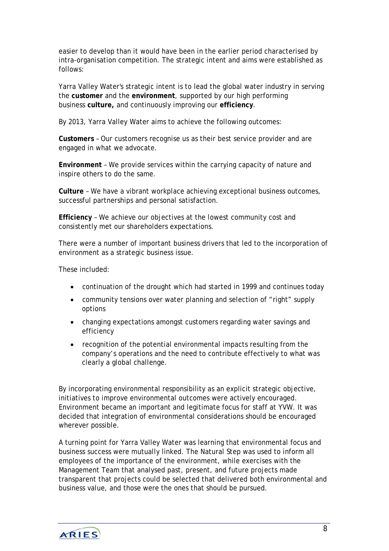easier to develop than it would have been in the earlier period characterised by intra-organisation competition. The strategic intent and aims were established as follows:

Yarra Valley Water's strategic intent is to lead the global water industry in serving the **customer** and the **environment**, supported by our high performing business **culture,** and continuously improving our **efficiency**.

By 2013, Yarra Valley Water aims to achieve the following outcomes:

**Customers** – Our customers recognise us as their best service provider and are engaged in what we advocate.

**Environment** – We provide services within the carrying capacity of nature and inspire others to do the same.

**Culture** – We have a vibrant workplace achieving exceptional business outcomes, successful partnerships and personal satisfaction.

**Efficiency** – We achieve our objectives at the lowest community cost and consistently met our shareholders expectations.

There were a number of important business drivers that led to the incorporation of environment as a strategic business issue.

These included:

- continuation of the drought which had started in 1999 and continues today
- community tensions over water planning and selection of "right" supply options
- changing expectations amongst customers regarding water savings and efficiency
- recognition of the potential environmental impacts resulting from the company's operations and the need to contribute effectively to what was clearly a global challenge.

By incorporating environmental responsibility as an explicit strategic objective, initiatives to improve environmental outcomes were actively encouraged. Environment became an important and legitimate focus for staff at YVW. It was decided that integration of environmental considerations should be encouraged wherever possible.

A turning point for Yarra Valley Water was learning that environmental focus and business success were mutually linked. The Natural Step was used to inform all employees of the importance of the environment, while exercises with the Management Team that analysed past, present, and future projects made transparent that projects could be selected that delivered both environmental and business value, and those were the ones that should be pursued.

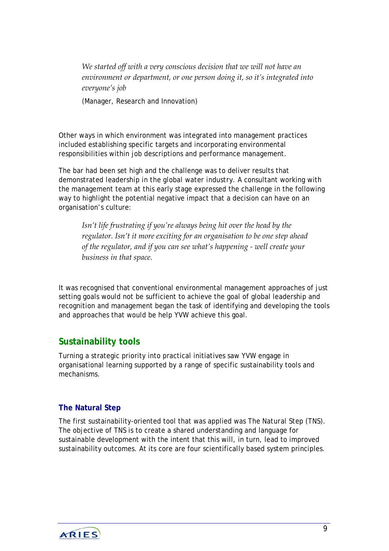<span id="page-8-0"></span>*We started off with a very conscious decision that we will not have an environment or department, or one person doing it, so it's integrated into everyone's job*

(Manager, Research and Innovation*)* 

Other ways in which environment was integrated into management practices included establishing specific targets and incorporating environmental responsibilities within job descriptions and performance management.

The bar had been set high and the challenge was to deliver results that demonstrated *leadership in the global water industry*. A consultant working with the management team at this early stage expressed the challenge in the following way to highlight the potential negative impact that a decision can have on an organisation's culture:

*Isn't life frustrating if you're always being hit over the head by the regulator. Isn't it more exciting for an organisation to be one step ahead of the regulator, and if you can see what's happening ‐ well create your business in that space.* 

It was recognised that conventional environmental management approaches of just setting goals would not be sufficient to achieve the goal of global leadership and recognition and management began the task of identifying and developing the tools and approaches that would be help YVW achieve this goal.

## **Sustainability tools**

Turning a strategic priority into practical initiatives saw YVW engage in organisational learning supported by a range of specific sustainability tools and mechanisms.

#### **The Natural Step**

The first sustainability-oriented tool that was applied was *The Natural Step* (TNS). The objective of TNS is to create a shared understanding and language for sustainable development with the intent that this will, in turn, lead to improved sustainability outcomes. At its core are four scientifically based system principles.

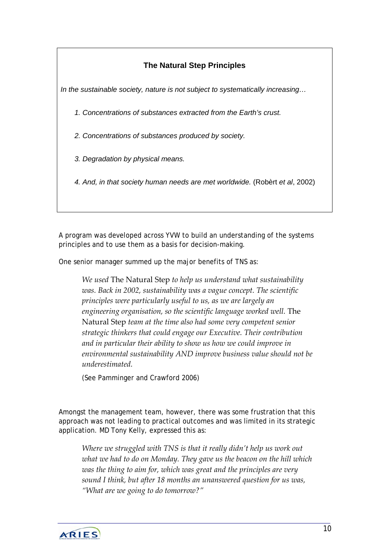### **The Natural Step Principles**

*In the sustainable society, nature is not subject to systematically increasing…* 

- *1. Concentrations of substances extracted from the Earth's crust.*
- *2. Concentrations of substances produced by society.*
- *3. Degradation by physical means.*
- *4. And, in that society human needs are met worldwide.* (Robèrt *et al*, 2002)

A program was developed across YVW to build an understanding of the systems principles and to use them as a basis for decision-making.

One senior manager summed up the major benefits of TNS as:

*We used* The Natural Step *to help us understand what sustainability was. Back in 2002, sustainability was a vague concept. The scientific principles were particularly useful to us, as we are largely an engineering organisation, so the scientific language worked well.* The Natural Step *team at the time also had some very competent senior strategic thinkers that could engage our Executive. Their contribution and in particular their ability to show us how we could improve in environmental sustainability AND improve business value should not be underestimated.*

(See Pamminger and Crawford 2006)

Amongst the management team, however, there was some frustration that this approach was not leading to practical outcomes and was limited in its strategic application. MD Tony Kelly, expressed this as:

*Where we struggled with TNS is that it really didn't help us work out what we had to do on Monday. They gave us the beacon on the hill which was the thing to aim for, which was great and the principles are very sound I think, but after 18 months an unanswered question for us was, "What are we going to do tomorrow?"*

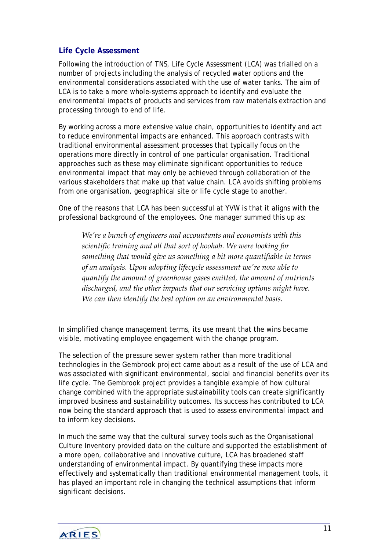#### <span id="page-10-0"></span>**Life Cycle Assessment**

Following the introduction of TNS, Life Cycle Assessment (LCA) was trialled on a number of projects including the analysis of recycled water options and the environmental considerations associated with the use of water tanks. The aim of LCA is to take a more whole-systems approach to identify and evaluate the environmental impacts of products and services from raw materials extraction and processing through to end of life.

By working across a more extensive value chain, opportunities to identify and act to reduce environmental impacts are enhanced. This approach contrasts with traditional environmental assessment processes that typically focus on the operations more directly in control of one particular organisation. Traditional approaches such as these may eliminate significant opportunities to reduce environmental impact that may only be achieved through collaboration of the various stakeholders that make up that value chain. LCA avoids shifting problems from one organisation, geographical site or life cycle stage to another.

One of the reasons that LCA has been successful at YVW is that it aligns with the professional background of the employees. One manager summed this up as:

*We're a bunch of engineers and accountants and economists with this scientific training and all that sort of hoohah. We were looking for something that would give us something a bit more quantifiable in terms of an analysis. Upon adopting lifecycle assessment weʹre now able to quantify the amount of greenhouse gases emitted, the amount of nutrients discharged, and the other impacts that our servicing options might have. We can then identify the best option on an environmental basis.*

In simplified change management terms, its use meant that the wins became visible, motivating employee engagement with the change program.

The selection of the pressure sewer system rather than more traditional technologies in the Gembrook project came about as a result of the use of LCA and was associated with significant environmental, social and financial benefits over its life cycle. The Gembrook project provides a tangible example of how cultural change combined with the appropriate sustainability tools can create significantly improved business and sustainability outcomes. Its success has contributed to LCA now being the standard approach that is used to assess environmental impact and to inform key decisions.

In much the same way that the cultural survey tools such as the Organisational Culture Inventory provided data on the culture and supported the establishment of a more open, collaborative and innovative culture, LCA has broadened staff understanding of environmental impact. By quantifying these impacts more effectively and systematically than traditional environmental management tools, it has played an important role in changing the *technical* assumptions that inform significant decisions.

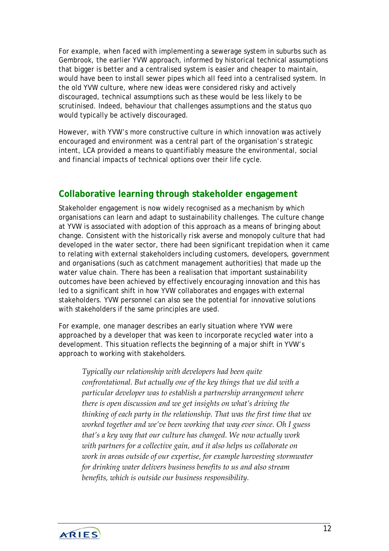<span id="page-11-0"></span>For example, when faced with implementing a sewerage system in suburbs such as Gembrook, the earlier YVW approach, informed by historical technical assumptions that bigger is better and a centralised system is easier and cheaper to maintain, would have been to install sewer pipes which all feed into a centralised system. In the old YVW culture, where new ideas were considered risky and actively discouraged, technical assumptions such as these would be less likely to be scrutinised. Indeed, behaviour that challenges assumptions and the status quo would typically be actively discouraged.

However, with YVW's more constructive culture in which *innovation* was actively encouraged and *environment* was a central part of the organisation's strategic intent, LCA provided a means to quantifiably measure the environmental, social and financial impacts of technical options over their life cycle.

### **Collaborative learning through stakeholder engagement**

Stakeholder engagement is now widely recognised as a mechanism by which organisations can learn and adapt to sustainability challenges. The culture change at YVW is associated with adoption of this approach as a means of bringing about change. Consistent with the historically risk averse and monopoly culture that had developed in the water sector, there had been significant trepidation when it came to relating with external stakeholders including customers, developers, government and organisations (such as catchment management authorities) that made up the water value chain. There has been a realisation that important sustainability outcomes have been achieved by effectively encouraging innovation and this has led to a significant shift in how YVW collaborates and engages with external stakeholders. YVW personnel can also see the potential for innovative solutions with stakeholders if the same principles are used.

For example, one manager describes an early situation where YVW were approached by a developer that was keen to incorporate recycled water into a development. This situation reflects the beginning of a major shift in YVW's approach to working with stakeholders.

*Typically our relationship with developers had been quite confrontational. But actually one of the key things that we did with a particular developer was to establish a partnership arrangement where there is open discussion and we get insights on what's driving the thinking of each party in the relationship. That was the first time that we worked together and we've been working that way ever since. Oh I guess that's a key way that our culture has changed. We now actually work with partners for a collective gain, and it also helps us collaborate on work in areas outside of our expertise, for example harvesting stormwater for drinking water delivers business benefits to us and also stream benefits, which is outside our business responsibility.* 

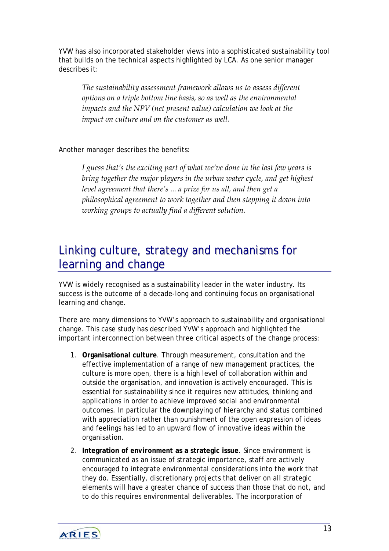<span id="page-12-0"></span>YVW has also incorporated stakeholder views into a sophisticated sustainability tool that builds on the technical aspects highlighted by LCA. As one senior manager describes it:

*The sustainability assessment framework allows us to assess different options on a triple bottom line basis, so as well as the environmental impacts and the NPV (net present value) calculation we look at the impact on culture and on the customer as well.*

Another manager describes the benefits:

*I guess that's the exciting part of what we've done in the last few years is bring together the major players in the urban water cycle, and get highest level agreement that there's ... a prize for us all, and then get a philosophical agreement to work together and then stepping it down into working groups to actually find a different solution.*

# Linking culture, strategy and mechanisms for learning and change

YVW is widely recognised as a sustainability leader in the water industry. Its success is the outcome of a decade-long and continuing focus on organisational learning and change.

There are many dimensions to YVW's approach to sustainability and organisational change. This case study has described YVW's approach and highlighted the important interconnection between three critical aspects of the change process:

- 1. **Organisational culture**. Through measurement, consultation and the effective implementation of a range of new management practices, the culture is more open, there is a high level of collaboration within and outside the organisation, and innovation is actively encouraged. This is essential for sustainability since it requires new attitudes, thinking and applications in order to achieve improved social and environmental outcomes. In particular the downplaying of hierarchy and status combined with appreciation rather than punishment of the open expression of ideas and feelings has led to an upward flow of innovative ideas within the organisation.
- 2. **Integration of** *environment* **as a strategic issue**. Since environment is communicated as an issue of strategic importance, staff are actively encouraged to integrate environmental considerations into the work that they do. Essentially, discretionary projects that deliver on all strategic elements will have a greater chance of success than those that do not, and to do this requires environmental deliverables. The incorporation of

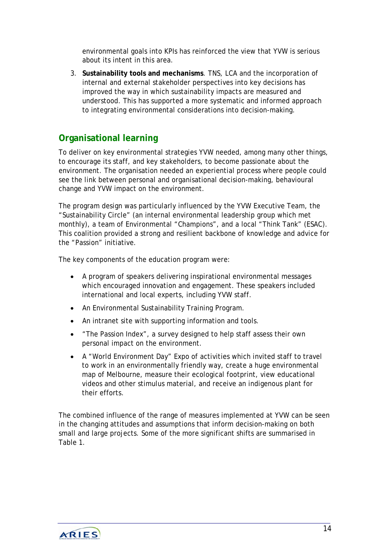<span id="page-13-0"></span>environmental goals into KPIs has reinforced the view that YVW is serious about its intent in this area.

3. **Sustainability tools and mechanisms**. TNS, LCA and the incorporation of internal and external stakeholder perspectives into key decisions has improved the way in which sustainability impacts are measured and understood. This has supported a more systematic and informed approach to integrating environmental considerations into decision-making.

## **Organisational learning**

To deliver on key environmental strategies YVW needed, among many other things, to encourage its staff, and key stakeholders, to become passionate about the environment. The organisation needed an experiential process where people could see the link between personal and organisational decision-making, behavioural change and YVW impact on the environment.

The program design was particularly influenced by the YVW Executive Team, the "Sustainability Circle" (an internal environmental leadership group which met monthly), a team of Environmental "Champions", and a local "Think Tank" (ESAC). This coalition provided a strong and resilient backbone of knowledge and advice for the "Passion" initiative.

The key components of the education program were:

- A program of speakers delivering inspirational environmental messages which encouraged innovation and engagement. These speakers included international and local experts, including YVW staff.
- An Environmental Sustainability Training Program.
- An intranet site with supporting information and tools.
- "The Passion Index", a survey designed to help staff assess their own personal impact on the environment.
- A "World Environment Day" Expo of activities which invited staff to travel to work in an environmentally friendly way, create a huge environmental map of Melbourne, measure their ecological footprint, view educational videos and other stimulus material, and receive an indigenous plant for their efforts.

The combined influence of the range of measures implemented at YVW can be seen in the changing attitudes and assumptions that inform decision-making on both small and large projects. Some of the more significant shifts are summarised in Table 1.

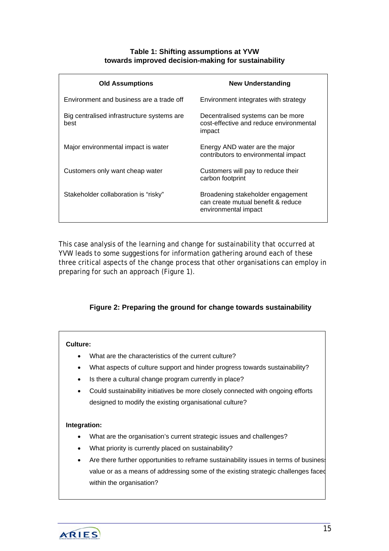#### **Table 1: Shifting assumptions at YVW towards improved decision-making for sustainability**

| <b>Old Assumptions</b>                             | <b>New Understanding</b>                                                                        |
|----------------------------------------------------|-------------------------------------------------------------------------------------------------|
| Environment and business are a trade off           | Environment integrates with strategy                                                            |
| Big centralised infrastructure systems are<br>best | Decentralised systems can be more<br>cost-effective and reduce environmental<br>impact          |
| Major environmental impact is water                | Energy AND water are the major<br>contributors to environmental impact                          |
| Customers only want cheap water                    | Customers will pay to reduce their<br>carbon footprint                                          |
| Stakeholder collaboration is "risky"               | Broadening stakeholder engagement<br>can create mutual benefit & reduce<br>environmental impact |

This case analysis of the learning and change for sustainability that occurred at YVW leads to some suggestions for information gathering around each of these three critical aspects of the change process that other organisations can employ in preparing for such an approach (Figure 1).

#### **Figure 2: Preparing the ground for change towards sustainability**

#### **Culture:**

- What are the characteristics of the current culture?
- What aspects of culture support and hinder progress towards sustainability?
- Is there a cultural change program currently in place?
- Could sustainability initiatives be more closely connected with ongoing efforts designed to modify the existing organisational culture?

#### **Integration:**

- What are the organisation's current strategic issues and challenges?
- What priority is currently placed on sustainability?
- Are there further opportunities to reframe sustainability issues in terms of business value or as a means of addressing some of the existing strategic challenges faced within the organisation?

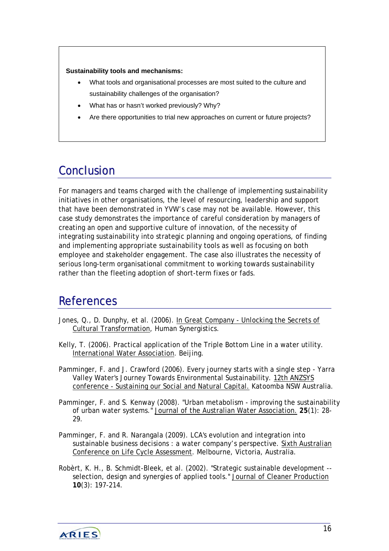#### <span id="page-15-0"></span>**Sustainability tools and mechanisms:**

- What tools and organisational processes are most suited to the culture and sustainability challenges of the organisation?
- What has or hasn't worked previously? Why?
- Are there opportunities to trial new approaches on current or future projects?

# **Conclusion**

For managers and teams charged with the challenge of implementing sustainability initiatives in other organisations, the level of resourcing, leadership and support that have been demonstrated in YVW's case may not be available. However, this case study demonstrates the importance of careful consideration by managers of creating an open and supportive culture of innovation, of the necessity of integrating sustainability into strategic planning and ongoing operations, of finding and implementing appropriate sustainability tools as well as focusing on both employee and stakeholder engagement. The case also illustrates the necessity of serious long-term organisational commitment to working towards sustainability rather than the fleeting adoption of short-term fixes or fads.

# **References**

- Jones, Q., D. Dunphy, et al. (2006). In Great Company Unlocking the Secrets of Cultural Transformation, Human Synergistics.
- Kelly, T. (2006). Practical application of the Triple Bottom Line in a water utility. International Water Association. Beijing.

Pamminger, F. and J. Crawford (2006). Every journey starts with a single step - Yarra Valley Water's Journey Towards Environmental Sustainability. 12th ANZSYS conference - Sustaining our Social and Natural Capital. Katoomba NSW Australia.

- Pamminger, F. and S. Kenway (2008). "Urban metabolism improving the sustainability of urban water systems." Journal of the Australian Water Association. **25**(1): 28- 29.
- Pamminger, F. and R. Narangala (2009). LCA's evolution and integration into sustainable business decisions : a water company's perspective. Sixth Australian Conference on Life Cycle Assessment. Melbourne, Victoria, Australia.
- Robèrt, K. H., B. Schmidt-Bleek, et al. (2002). "Strategic sustainable development selection, design and synergies of applied tools." Journal of Cleaner Production **10**(3): 197-214.

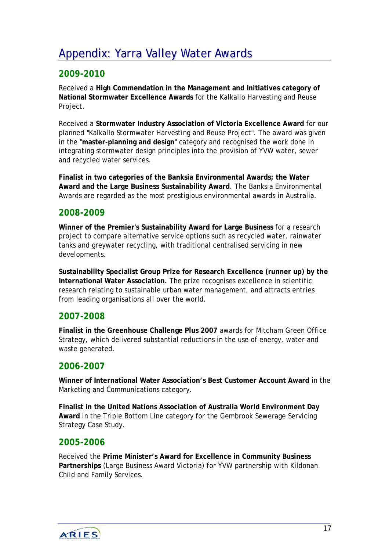# <span id="page-16-0"></span>Appendix: Yarra Valley Water Awards

# **2009-2010**

Received a **High Commendation in the Management and Initiatives category of National Stormwater Excellence Awards** for the Kalkallo Harvesting and Reuse Project.

Received a **Stormwater Industry Association of Victoria Excellence Award** for our planned "Kalkallo Stormwater Harvesting and Reuse Project". The award was given in the "**master-planning and design**" category and recognised the work done in integrating stormwater design principles into the provision of YVW water, sewer and recycled water services.

**Finalist in two categories of the Banksia Environmental Awards; the Water Award and the Large Business Sustainability Award**. The Banksia Environmental Awards are regarded as the most prestigious environmental awards in Australia.

### **2008-2009**

**Winner of the Premier's Sustainability Award for Large Business** for a research project to compare alternative service options such as recycled water, rainwater tanks and greywater recycling, with traditional centralised servicing in new developments.

**Sustainability Specialist Group Prize for Research Excellence (runner up) by the International Water Association.** The prize recognises excellence in scientific research relating to sustainable urban water management, and attracts entries from leading organisations all over the world.

### **2007-2008**

**Finalist in the Greenhouse Challenge Plus 2007** awards for Mitcham Green Office Strategy, which delivered substantial reductions in the use of energy, water and waste generated.

### **2006-2007**

**Winner of International Water Association's Best Customer Account Award** in the Marketing and Communications category.

**Finalist in the United Nations Association of Australia World Environment Day Award** in the Triple Bottom Line category for the Gembrook Sewerage Servicing Strategy Case Study.

#### **2005-2006**

Received the **Prime Minister's Award for Excellence in Community Business Partnerships** (Large Business Award Victoria) for YVW partnership with Kildonan Child and Family Services.